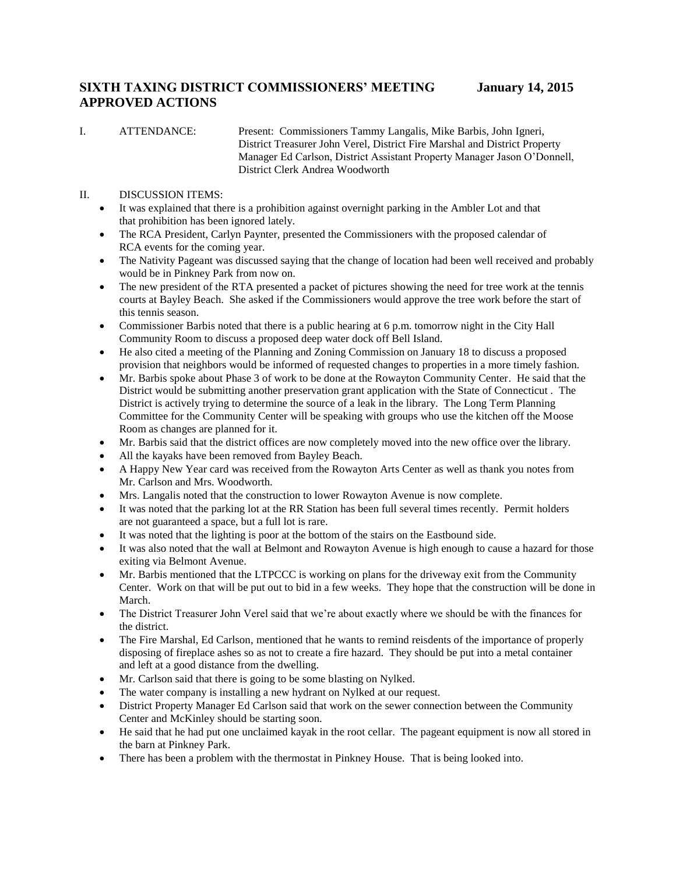# **SIXTH TAXING DISTRICT COMMISSIONERS' MEETING January 14, 2015 APPROVED ACTIONS**

I. ATTENDANCE: Present: Commissioners Tammy Langalis, Mike Barbis, John Igneri, District Treasurer John Verel, District Fire Marshal and District Property Manager Ed Carlson, District Assistant Property Manager Jason O'Donnell, District Clerk Andrea Woodworth

### II. DISCUSSION ITEMS:

- It was explained that there is a prohibition against overnight parking in the Ambler Lot and that that prohibition has been ignored lately.
- The RCA President, Carlyn Paynter, presented the Commissioners with the proposed calendar of RCA events for the coming year.
- The Nativity Pageant was discussed saying that the change of location had been well received and probably would be in Pinkney Park from now on.
- The new president of the RTA presented a packet of pictures showing the need for tree work at the tennis courts at Bayley Beach. She asked if the Commissioners would approve the tree work before the start of this tennis season.
- Commissioner Barbis noted that there is a public hearing at 6 p.m. tomorrow night in the City Hall Community Room to discuss a proposed deep water dock off Bell Island.
- He also cited a meeting of the Planning and Zoning Commission on January 18 to discuss a proposed provision that neighbors would be informed of requested changes to properties in a more timely fashion.
- Mr. Barbis spoke about Phase 3 of work to be done at the Rowayton Community Center. He said that the District would be submitting another preservation grant application with the State of Connecticut . The District is actively trying to determine the source of a leak in the library. The Long Term Planning Committee for the Community Center will be speaking with groups who use the kitchen off the Moose Room as changes are planned for it.
- Mr. Barbis said that the district offices are now completely moved into the new office over the library.
- All the kayaks have been removed from Bayley Beach.
- A Happy New Year card was received from the Rowayton Arts Center as well as thank you notes from Mr. Carlson and Mrs. Woodworth.
- Mrs. Langalis noted that the construction to lower Rowayton Avenue is now complete.
- It was noted that the parking lot at the RR Station has been full several times recently. Permit holders are not guaranteed a space, but a full lot is rare.
- It was noted that the lighting is poor at the bottom of the stairs on the Eastbound side.
- It was also noted that the wall at Belmont and Rowayton Avenue is high enough to cause a hazard for those exiting via Belmont Avenue.
- Mr. Barbis mentioned that the LTPCCC is working on plans for the driveway exit from the Community Center. Work on that will be put out to bid in a few weeks. They hope that the construction will be done in March.
- The District Treasurer John Verel said that we're about exactly where we should be with the finances for the district.
- The Fire Marshal, Ed Carlson, mentioned that he wants to remind reisdents of the importance of properly disposing of fireplace ashes so as not to create a fire hazard. They should be put into a metal container and left at a good distance from the dwelling.
- Mr. Carlson said that there is going to be some blasting on Nylked.
- The water company is installing a new hydrant on Nylked at our request.
- District Property Manager Ed Carlson said that work on the sewer connection between the Community Center and McKinley should be starting soon.
- He said that he had put one unclaimed kayak in the root cellar. The pageant equipment is now all stored in the barn at Pinkney Park.
- There has been a problem with the thermostat in Pinkney House. That is being looked into.